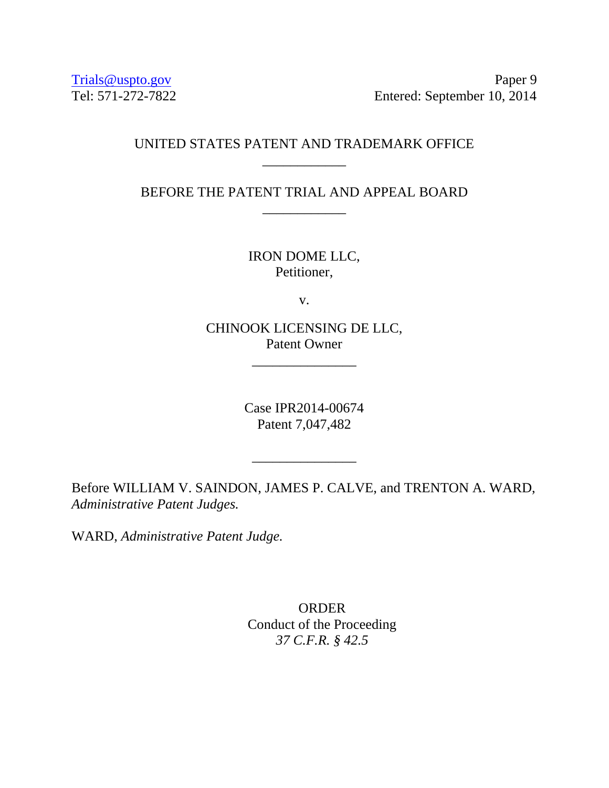Trials @uspto.gov Paper 9 Tel: 571-272-7822 Entered: September 10, 2014

## UNITED STATES PATENT AND TRADEMARK OFFICE \_\_\_\_\_\_\_\_\_\_\_\_

BEFORE THE PATENT TRIAL AND APPEAL BOARD \_\_\_\_\_\_\_\_\_\_\_\_

> IRON DOME LLC, Petitioner,

> > v.

CHINOOK LICENSING DE LLC, Patent Owner

\_\_\_\_\_\_\_\_\_\_\_\_\_\_\_

Case IPR2014-00674 Patent 7,047,482

\_\_\_\_\_\_\_\_\_\_\_\_\_\_\_

Before WILLIAM V. SAINDON, JAMES P. CALVE, and TRENTON A. WARD, *Administrative Patent Judges.* 

WARD, *Administrative Patent Judge.* 

**ORDER** Conduct of the Proceeding *37 C.F.R. § 42.5*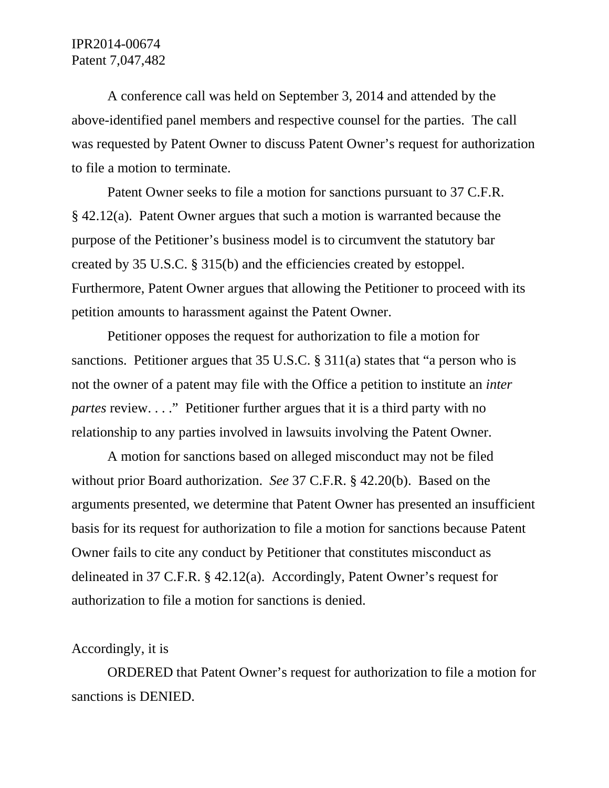# IPR2014-00674 Patent 7,047,482

 A conference call was held on September 3, 2014 and attended by the above-identified panel members and respective counsel for the parties. The call was requested by Patent Owner to discuss Patent Owner's request for authorization to file a motion to terminate.

 Patent Owner seeks to file a motion for sanctions pursuant to 37 C.F.R. § 42.12(a). Patent Owner argues that such a motion is warranted because the purpose of the Petitioner's business model is to circumvent the statutory bar created by 35 U.S.C. § 315(b) and the efficiencies created by estoppel. Furthermore, Patent Owner argues that allowing the Petitioner to proceed with its petition amounts to harassment against the Patent Owner.

 Petitioner opposes the request for authorization to file a motion for sanctions. Petitioner argues that 35 U.S.C. § 311(a) states that "a person who is not the owner of a patent may file with the Office a petition to institute an *inter partes* review. . . ." Petitioner further argues that it is a third party with no relationship to any parties involved in lawsuits involving the Patent Owner.

A motion for sanctions based on alleged misconduct may not be filed without prior Board authorization. *See* 37 C.F.R. § 42.20(b). Based on the arguments presented, we determine that Patent Owner has presented an insufficient basis for its request for authorization to file a motion for sanctions because Patent Owner fails to cite any conduct by Petitioner that constitutes misconduct as delineated in 37 C.F.R. § 42.12(a). Accordingly, Patent Owner's request for authorization to file a motion for sanctions is denied.

### Accordingly, it is

ORDERED that Patent Owner's request for authorization to file a motion for sanctions is DENIED.